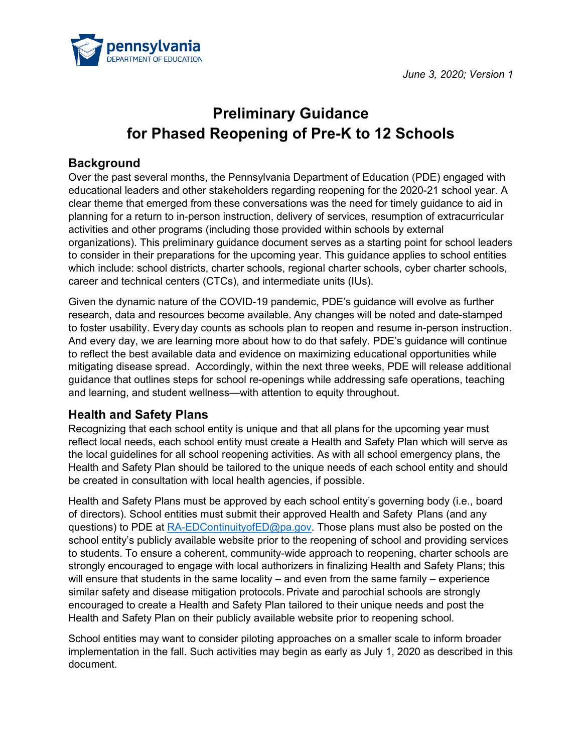

# **Preliminary Guidance for Phased Reopening of Pre-K to 12 Schools**

## **Background**

Over the past several months, the Pennsylvania Department of Education (PDE) engaged with educational leaders and other stakeholders regarding reopening for the 2020-21 school year. A clear theme that emerged from these conversations was the need for timely guidance to aid in planning for a return to in-person instruction, delivery of services, resumption of extracurricular activities and other programs (including those provided within schools by external organizations). This preliminary guidance document serves as a starting point for school leaders to consider in their preparations for the upcoming year. This guidance applies to school entities which include: school districts, charter schools, regional charter schools, cyber charter schools, career and technical centers (CTCs), and intermediate units (IUs).

Given the dynamic nature of the COVID-19 pandemic, PDE's guidance will evolve as further research, data and resources become available. Any changes will be noted and date-stamped to foster usability. Every day counts as schools plan to reopen and resume in-person instruction. And every day, we are learning more about how to do that safely. PDE's guidance will continue to reflect the best available data and evidence on maximizing educational opportunities while mitigating disease spread. Accordingly, within the next three weeks, PDE will release additional guidance that outlines steps for school re-openings while addressing safe operations, teaching and learning, and student wellness—with attention to equity throughout.

## **Health and Safety Plans**

Recognizing that each school entity is unique and that all plans for the upcoming year must reflect local needs, each school entity must create a Health and Safety Plan which will serve as the local guidelines for all school reopening activities. As with all school emergency plans, the Health and Safety Plan should be tailored to the unique needs of each school entity and should be created in consultation with local health agencies, if possible.

Health and Safety Plans must be approved by each school entity's governing body (i.e., board of directors). School entities must submit their approved Health and Safety Plans (and any questions) to PDE at [RA-EDContinuityofED@pa.gov.](mailto:RA-EDContinuityofED@pa.gov) Those plans must also be posted on the school entity's publicly available website prior to the reopening of school and providing services to students. To ensure a coherent, community-wide approach to reopening, charter schools are strongly encouraged to engage with local authorizers in finalizing Health and Safety Plans; this will ensure that students in the same locality – and even from the same family – experience similar safety and disease mitigation protocols. Private and parochial schools are strongly encouraged to create a Health and Safety Plan tailored to their unique needs and post the Health and Safety Plan on their publicly available website prior to reopening school.

School entities may want to consider piloting approaches on a smaller scale to inform broader implementation in the fall. Such activities may begin as early as July 1, 2020 as described in this document.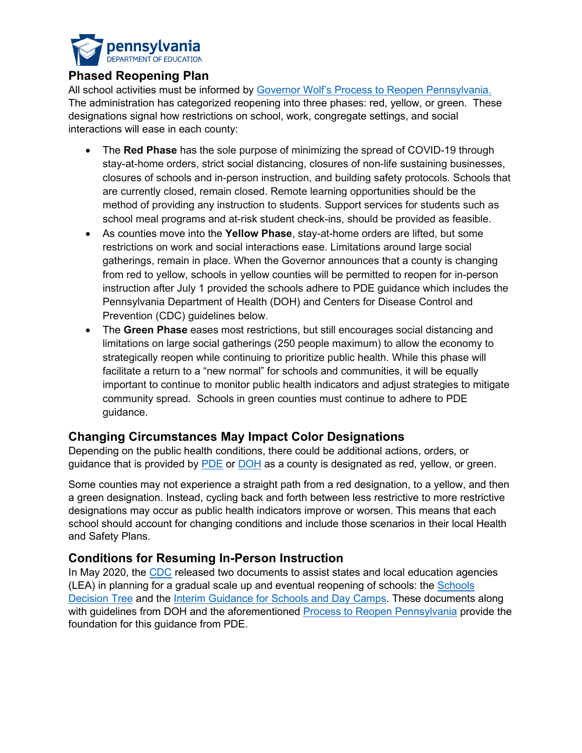

## **Phased Reopening Plan**

All school activities must be informed by [Governor Wolf's Process to Reopen Pennsylvania.](https://www.governor.pa.gov/process-to-reopen-pennsylvania/) The administration has categorized reopening into three phases: red, yellow, or green. These designations signal how restrictions on school, work, congregate settings, and social interactions will ease in each county:

- The **Red Phase** has the sole purpose of minimizing the spread of COVID-19 through stay-at-home orders, strict social distancing, closures of non-life sustaining businesses, closures of schools and in-person instruction, and building safety protocols. Schools that are currently closed, remain closed. Remote learning opportunities should be the method of providing any instruction to students. Support services for students such as school meal programs and at-risk student check-ins, should be provided as feasible.
- As counties move into the **Yellow Phase**, stay-at-home orders are lifted, but some restrictions on work and social interactions ease. Limitations around large social gatherings, remain in place. When the Governor announces that a county is changing from red to yellow, schools in yellow counties will be permitted to reopen for in-person instruction after July 1 provided the schools adhere to PDE guidance which includes the Pennsylvania Department of Health (DOH) and Centers for Disease Control and Prevention (CDC) guidelines below.
- The **Green Phase** eases most restrictions, but still encourages social distancing and limitations on large social gatherings (250 people maximum) to allow the economy to strategically reopen while continuing to prioritize public health. While this phase will facilitate a return to a "new normal" for schools and communities, it will be equally important to continue to monitor public health indicators and adjust strategies to mitigate community spread. Schools in green counties must continue to adhere to PDE guidance.

## **Changing Circumstances May Impact Color Designations**

Depending on the public health conditions, there could be additional actions, orders, or guidance that is provided by [PDE](https://www.education.pa.gov/Schools/safeschools/emergencyplanning/COVID-19/Pages/default.aspx) or [DOH](https://www.health.pa.gov/topics/disease/coronavirus/Pages/Coronavirus.aspx) as a county is designated as red, yellow, or green.

Some counties may not experience a straight path from a red designation, to a yellow, and then a green designation. Instead, cycling back and forth between less restrictive to more restrictive designations may occur as public health indicators improve or worsen. This means that each school should account for changing conditions and include those scenarios in their local Health and Safety Plans.

## **Conditions for Resuming In-Person Instruction**

In May 2020, the [CDC](https://www.cdc.gov/) released two documents to assist states and local education agencies (LEA) in planning for a gradual scale up and eventual reopening of schools: the [Schools](https://www.cdc.gov/coronavirus/2019-ncov/community/schools-childcare/Schools-Decision-Tree.pdf)  [Decision Tree](https://www.cdc.gov/coronavirus/2019-ncov/community/schools-childcare/Schools-Decision-Tree.pdf) and the [Interim Guidance for Schools and Day Camps.](https://www.cdc.gov/coronavirus/2019-ncov/downloads/php/CDC-Activities-Initiatives-for-COVID-19-Response.pdf#page=46) These documents along with guidelines from DOH and the aforementioned **Process to Reopen Pennsylvania** provide the foundation for this guidance from PDE.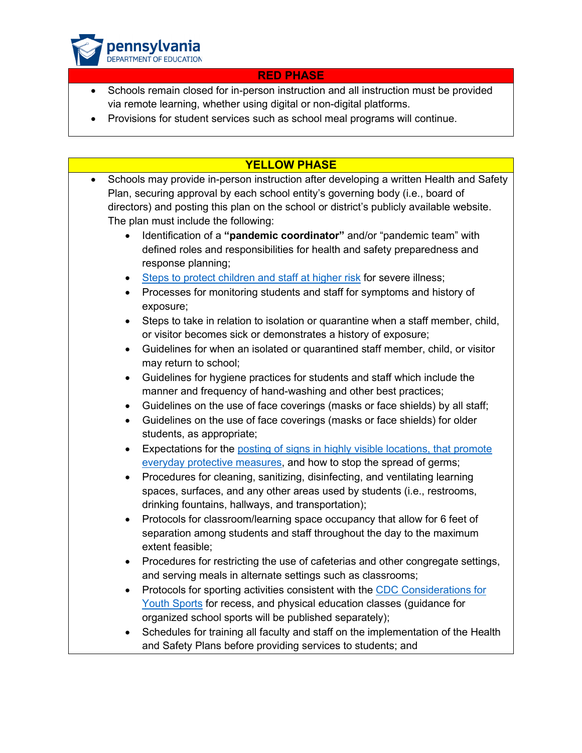

#### **RED PHASE**

- Schools remain closed for in-person instruction and all instruction must be provided via remote learning, whether using digital or non-digital platforms.
- Provisions for student services such as school meal programs will continue.

| <b>YELLOW PHASE</b>                                                                                 |
|-----------------------------------------------------------------------------------------------------|
| Schools may provide in-person instruction after developing a written Health and Safety<br>$\bullet$ |
| Plan, securing approval by each school entity's governing body (i.e., board of                      |
| directors) and posting this plan on the school or district's publicly available website.            |
| The plan must include the following:                                                                |
| Identification of a "pandemic coordinator" and/or "pandemic team" with                              |
| defined roles and responsibilities for health and safety preparedness and                           |
| response planning;                                                                                  |
| Steps to protect children and staff at higher risk for severe illness;                              |
| Processes for monitoring students and staff for symptoms and history of                             |
| exposure;                                                                                           |
| Steps to take in relation to isolation or quarantine when a staff member, child,                    |
| or visitor becomes sick or demonstrates a history of exposure;                                      |
| Guidelines for when an isolated or quarantined staff member, child, or visitor<br>$\bullet$         |
| may return to school;                                                                               |
| Guidelines for hygiene practices for students and staff which include the<br>$\bullet$              |
| manner and frequency of hand-washing and other best practices;                                      |
| Guidelines on the use of face coverings (masks or face shields) by all staff;<br>$\bullet$          |
| Guidelines on the use of face coverings (masks or face shields) for older<br>$\bullet$              |
| students, as appropriate;                                                                           |
| Expectations for the posting of signs in highly visible locations, that promote<br>$\bullet$        |
| everyday protective measures, and how to stop the spread of germs;                                  |
| Procedures for cleaning, sanitizing, disinfecting, and ventilating learning<br>٠                    |
| spaces, surfaces, and any other areas used by students (i.e., restrooms,                            |
| drinking fountains, hallways, and transportation);                                                  |
| Protocols for classroom/learning space occupancy that allow for 6 feet of<br>$\bullet$              |
| separation among students and staff throughout the day to the maximum                               |
| extent feasible;                                                                                    |
| Procedures for restricting the use of cafeterias and other congregate settings,                     |
| and serving meals in alternate settings such as classrooms;                                         |
| Protocols for sporting activities consistent with the CDC Considerations for                        |
| Youth Sports for recess, and physical education classes (guidance for                               |
| organized school sports will be published separately);                                              |
| Schedules for training all faculty and staff on the implementation of the Health<br>٠               |
| and Safety Plans before providing services to students; and                                         |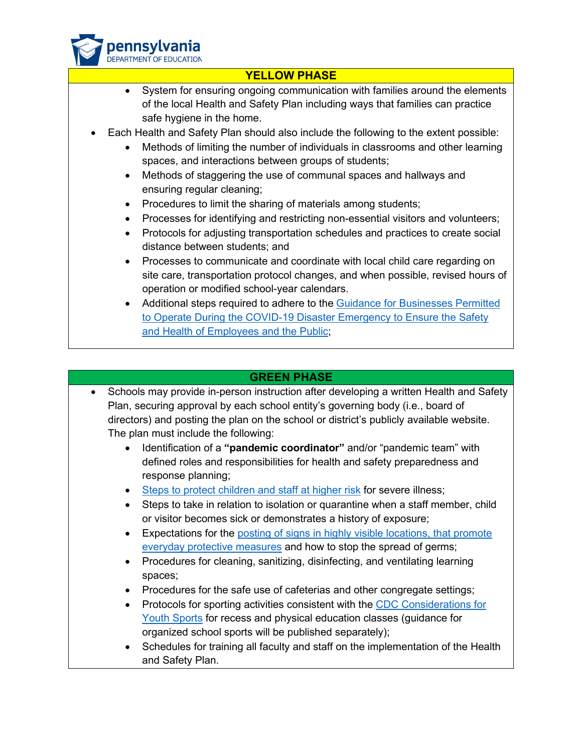

#### **YELLOW PHASE**

- System for ensuring ongoing communication with families around the elements of the local Health and Safety Plan including ways that families can practice safe hygiene in the home.
- Each Health and Safety Plan should also include the following to the extent possible:
	- Methods of limiting the number of individuals in classrooms and other learning spaces, and interactions between groups of students;
	- Methods of staggering the use of communal spaces and hallways and ensuring regular cleaning;
	- Procedures to limit the sharing of materials among students;
	- Processes for identifying and restricting non-essential visitors and volunteers;
	- Protocols for adjusting transportation schedules and practices to create social distance between students; and
	- Processes to communicate and coordinate with local child care regarding on site care, transportation protocol changes, and when possible, revised hours of operation or modified school-year calendars.
	- Additional steps required to adhere to the [Guidance for Businesses Permitted](https://www.governor.pa.gov/wp-content/uploads/2020/06/20200504-COVID-19-Business-Guidance.pdf)  [to Operate During the COVID-19 Disaster Emergency to Ensure the Safety](https://www.governor.pa.gov/wp-content/uploads/2020/06/20200504-COVID-19-Business-Guidance.pdf)  [and Health of Employees and the Public;](https://www.governor.pa.gov/wp-content/uploads/2020/06/20200504-COVID-19-Business-Guidance.pdf)

## **GREEN PHASE**

- Schools may provide in-person instruction after developing a written Health and Safety Plan, securing approval by each school entity's governing body (i.e., board of directors) and posting the plan on the school or district's publicly available website. The plan must include the following:
	- Identification of a **"pandemic coordinator"** and/or "pandemic team" with defined roles and responsibilities for health and safety preparedness and response planning;
	- [Steps to protect children and staff at higher risk](https://www.cdc.gov/coronavirus/2019-ncov/need-extra-precautions/index.html) for severe illness;
	- Steps to take in relation to isolation or quarantine when a staff member, child or visitor becomes sick or demonstrates a history of exposure;
	- Expectations for the [posting of signs in highly visible locations, that promote](https://www.cdc.gov/coronavirus/2019-ncov/communication/print-resources.html?Sort=Date%3A%3Adesc)  [everyday protective measures](https://www.cdc.gov/coronavirus/2019-ncov/communication/print-resources.html?Sort=Date%3A%3Adesc) and how to stop the spread of germs;
	- Procedures for cleaning, sanitizing, disinfecting, and ventilating learning spaces;
	- Procedures for the safe use of cafeterias and other congregate settings;
	- Protocols for sporting activities consistent with the [CDC Considerations for](https://www.cdc.gov/coronavirus/2019-ncov/community/schools-childcare/youth-sports.html)  [Youth Sports](https://www.cdc.gov/coronavirus/2019-ncov/community/schools-childcare/youth-sports.html) for recess and physical education classes (guidance for organized school sports will be published separately);
	- Schedules for training all faculty and staff on the implementation of the Health and Safety Plan.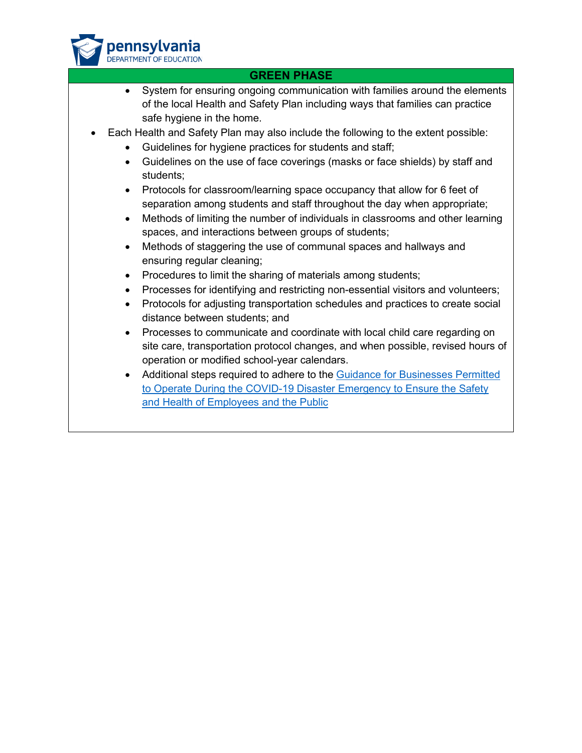

#### **GREEN PHASE**

- System for ensuring ongoing communication with families around the elements of the local Health and Safety Plan including ways that families can practice safe hygiene in the home.
- Each Health and Safety Plan may also include the following to the extent possible:
	- Guidelines for hygiene practices for students and staff;
	- Guidelines on the use of face coverings (masks or face shields) by staff and students;
	- Protocols for classroom/learning space occupancy that allow for 6 feet of separation among students and staff throughout the day when appropriate;
	- Methods of limiting the number of individuals in classrooms and other learning spaces, and interactions between groups of students;
	- Methods of staggering the use of communal spaces and hallways and ensuring regular cleaning;
	- Procedures to limit the sharing of materials among students;
	- Processes for identifying and restricting non-essential visitors and volunteers;
	- Protocols for adjusting transportation schedules and practices to create social distance between students; and
	- Processes to communicate and coordinate with local child care regarding on site care, transportation protocol changes, and when possible, revised hours of operation or modified school-year calendars.
	- Additional steps required to adhere to the [Guidance for Businesses Permitted](https://www.governor.pa.gov/wp-content/uploads/2020/06/20200504-COVID-19-Business-Guidance.pdf)  to Operate During the COVID-19 Disaster Emergency to Ensure the Safety [and Health of Employees and the Public](https://www.governor.pa.gov/wp-content/uploads/2020/06/20200504-COVID-19-Business-Guidance.pdf)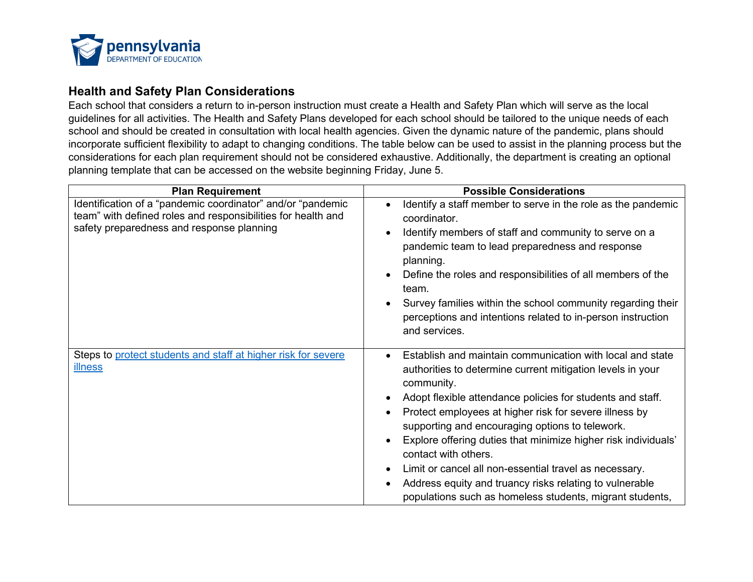

## **Health and Safety Plan Considerations**

Each school that considers a return to in-person instruction must create a Health and Safety Plan which will serve as the local guidelines for all activities. The Health and Safety Plans developed for each school should be tailored to the unique needs of each school and should be created in consultation with local health agencies. Given the dynamic nature of the pandemic, plans should incorporate sufficient flexibility to adapt to changing conditions. The table below can be used to assist in the planning process but the considerations for each plan requirement should not be considered exhaustive. Additionally, the department is creating an optional planning template that can be accessed on the website beginning Friday, June 5.

| <b>Plan Requirement</b>                                                                                                                                                  | <b>Possible Considerations</b>                                                                                                                                                                                                                                                                                                                                                                                                                                                                                                                                                              |
|--------------------------------------------------------------------------------------------------------------------------------------------------------------------------|---------------------------------------------------------------------------------------------------------------------------------------------------------------------------------------------------------------------------------------------------------------------------------------------------------------------------------------------------------------------------------------------------------------------------------------------------------------------------------------------------------------------------------------------------------------------------------------------|
| Identification of a "pandemic coordinator" and/or "pandemic<br>team" with defined roles and responsibilities for health and<br>safety preparedness and response planning | Identify a staff member to serve in the role as the pandemic<br>coordinator.<br>Identify members of staff and community to serve on a<br>pandemic team to lead preparedness and response<br>planning.<br>Define the roles and responsibilities of all members of the<br>team.<br>Survey families within the school community regarding their<br>perceptions and intentions related to in-person instruction<br>and services.                                                                                                                                                                |
| Steps to protect students and staff at higher risk for severe<br>illness                                                                                                 | Establish and maintain communication with local and state<br>authorities to determine current mitigation levels in your<br>community.<br>Adopt flexible attendance policies for students and staff.<br>Protect employees at higher risk for severe illness by<br>supporting and encouraging options to telework.<br>Explore offering duties that minimize higher risk individuals'<br>contact with others.<br>Limit or cancel all non-essential travel as necessary.<br>Address equity and truancy risks relating to vulnerable<br>populations such as homeless students, migrant students, |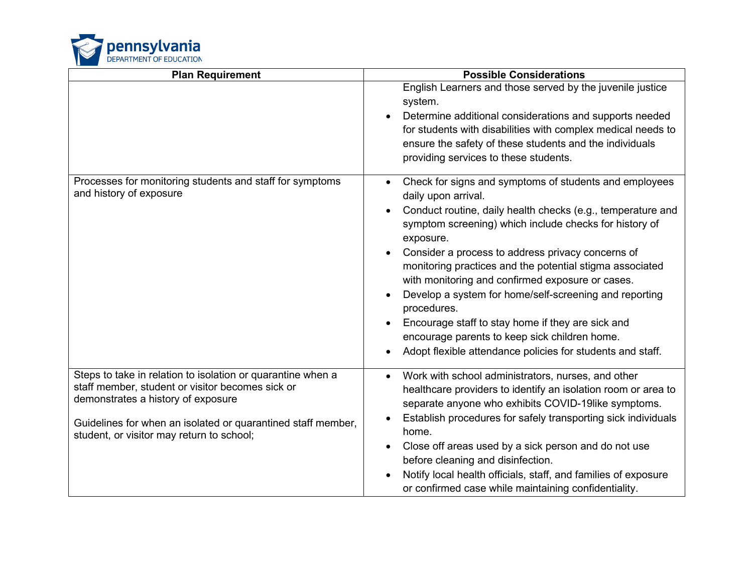

| <b>Plan Requirement</b>                                                                                                                                                                                                                                            | <b>Possible Considerations</b>                                                                                                                                                                                                                                                                                                                                                                                                                                                                                                                                                                                                        |
|--------------------------------------------------------------------------------------------------------------------------------------------------------------------------------------------------------------------------------------------------------------------|---------------------------------------------------------------------------------------------------------------------------------------------------------------------------------------------------------------------------------------------------------------------------------------------------------------------------------------------------------------------------------------------------------------------------------------------------------------------------------------------------------------------------------------------------------------------------------------------------------------------------------------|
|                                                                                                                                                                                                                                                                    | English Learners and those served by the juvenile justice<br>system.<br>Determine additional considerations and supports needed<br>for students with disabilities with complex medical needs to<br>ensure the safety of these students and the individuals<br>providing services to these students.                                                                                                                                                                                                                                                                                                                                   |
| Processes for monitoring students and staff for symptoms<br>and history of exposure                                                                                                                                                                                | Check for signs and symptoms of students and employees<br>daily upon arrival.<br>Conduct routine, daily health checks (e.g., temperature and<br>symptom screening) which include checks for history of<br>exposure.<br>Consider a process to address privacy concerns of<br>monitoring practices and the potential stigma associated<br>with monitoring and confirmed exposure or cases.<br>Develop a system for home/self-screening and reporting<br>procedures.<br>Encourage staff to stay home if they are sick and<br>encourage parents to keep sick children home.<br>Adopt flexible attendance policies for students and staff. |
| Steps to take in relation to isolation or quarantine when a<br>staff member, student or visitor becomes sick or<br>demonstrates a history of exposure<br>Guidelines for when an isolated or quarantined staff member,<br>student, or visitor may return to school; | Work with school administrators, nurses, and other<br>$\bullet$<br>healthcare providers to identify an isolation room or area to<br>separate anyone who exhibits COVID-19like symptoms.<br>Establish procedures for safely transporting sick individuals<br>home.<br>Close off areas used by a sick person and do not use<br>before cleaning and disinfection.<br>Notify local health officials, staff, and families of exposure<br>or confirmed case while maintaining confidentiality.                                                                                                                                              |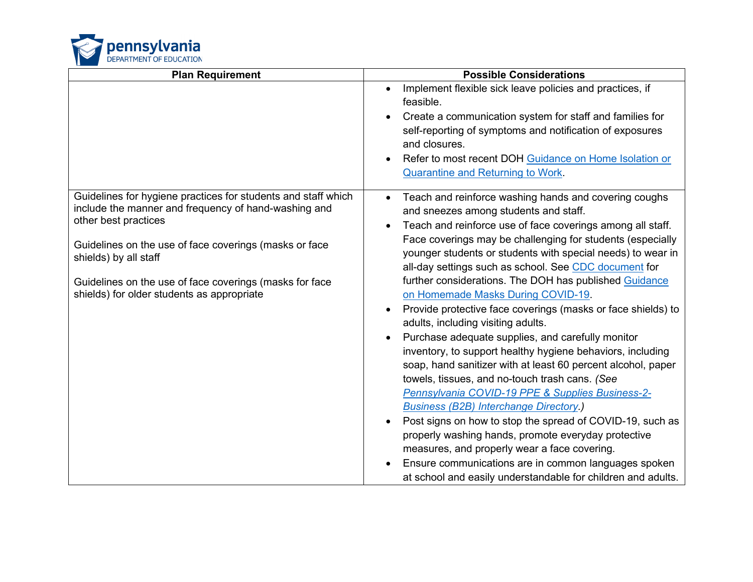

| <b>Plan Requirement</b>                                       | <b>Possible Considerations</b>                                            |
|---------------------------------------------------------------|---------------------------------------------------------------------------|
|                                                               | Implement flexible sick leave policies and practices, if<br>$\bullet$     |
|                                                               | feasible.                                                                 |
|                                                               | Create a communication system for staff and families for                  |
|                                                               | self-reporting of symptoms and notification of exposures                  |
|                                                               | and closures.                                                             |
|                                                               | Refer to most recent DOH Guidance on Home Isolation or                    |
|                                                               | <b>Quarantine and Returning to Work.</b>                                  |
| Guidelines for hygiene practices for students and staff which | Teach and reinforce washing hands and covering coughs<br>$\bullet$        |
| include the manner and frequency of hand-washing and          | and sneezes among students and staff.                                     |
| other best practices                                          | Teach and reinforce use of face coverings among all staff.<br>$\bullet$   |
| Guidelines on the use of face coverings (masks or face        | Face coverings may be challenging for students (especially                |
| shields) by all staff                                         | younger students or students with special needs) to wear in               |
|                                                               | all-day settings such as school. See CDC document for                     |
| Guidelines on the use of face coverings (masks for face       | further considerations. The DOH has published Guidance                    |
| shields) for older students as appropriate                    | on Homemade Masks During COVID-19.                                        |
|                                                               | Provide protective face coverings (masks or face shields) to<br>$\bullet$ |
|                                                               | adults, including visiting adults.                                        |
|                                                               | Purchase adequate supplies, and carefully monitor                         |
|                                                               | inventory, to support healthy hygiene behaviors, including                |
|                                                               | soap, hand sanitizer with at least 60 percent alcohol, paper              |
|                                                               | towels, tissues, and no-touch trash cans. (See                            |
|                                                               | Pennsylvania COVID-19 PPE & Supplies Business-2-                          |
|                                                               | <b>Business (B2B) Interchange Directory )</b>                             |
|                                                               | Post signs on how to stop the spread of COVID-19, such as                 |
|                                                               | properly washing hands, promote everyday protective                       |
|                                                               | measures, and properly wear a face covering.                              |
|                                                               | Ensure communications are in common languages spoken                      |
|                                                               | at school and easily understandable for children and adults.              |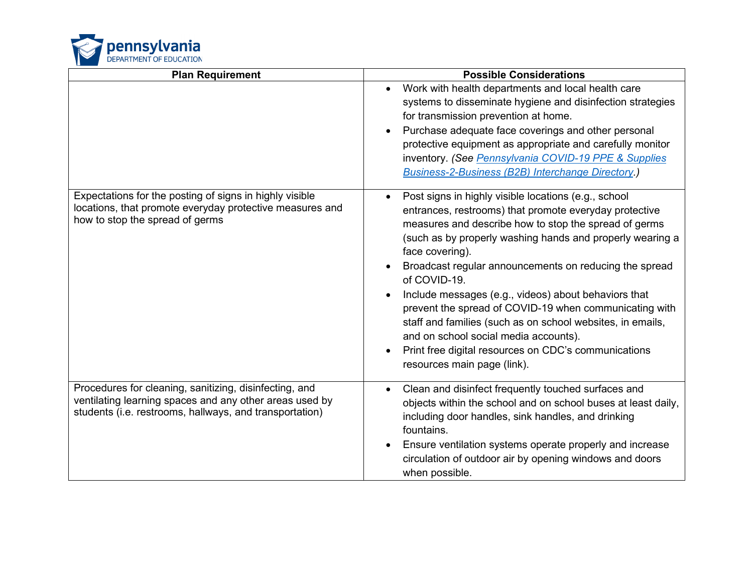

| <b>Plan Requirement</b>                                                                                                                                                      | <b>Possible Considerations</b>                                                                                                                                                                                                                                                                                                                                                                                                                                                                                                                                                                                                                    |
|------------------------------------------------------------------------------------------------------------------------------------------------------------------------------|---------------------------------------------------------------------------------------------------------------------------------------------------------------------------------------------------------------------------------------------------------------------------------------------------------------------------------------------------------------------------------------------------------------------------------------------------------------------------------------------------------------------------------------------------------------------------------------------------------------------------------------------------|
|                                                                                                                                                                              | Work with health departments and local health care<br>systems to disseminate hygiene and disinfection strategies<br>for transmission prevention at home.<br>Purchase adequate face coverings and other personal<br>$\bullet$<br>protective equipment as appropriate and carefully monitor<br>inventory. (See Pennsylvania COVID-19 PPE & Supplies<br><b>Business-2-Business (B2B) Interchange Directory.)</b>                                                                                                                                                                                                                                     |
| Expectations for the posting of signs in highly visible<br>locations, that promote everyday protective measures and<br>how to stop the spread of germs                       | Post signs in highly visible locations (e.g., school<br>entrances, restrooms) that promote everyday protective<br>measures and describe how to stop the spread of germs<br>(such as by properly washing hands and properly wearing a<br>face covering).<br>Broadcast regular announcements on reducing the spread<br>of COVID-19.<br>Include messages (e.g., videos) about behaviors that<br>prevent the spread of COVID-19 when communicating with<br>staff and families (such as on school websites, in emails,<br>and on school social media accounts).<br>Print free digital resources on CDC's communications<br>resources main page (link). |
| Procedures for cleaning, sanitizing, disinfecting, and<br>ventilating learning spaces and any other areas used by<br>students (i.e. restrooms, hallways, and transportation) | Clean and disinfect frequently touched surfaces and<br>objects within the school and on school buses at least daily,<br>including door handles, sink handles, and drinking<br>fountains.<br>Ensure ventilation systems operate properly and increase<br>circulation of outdoor air by opening windows and doors<br>when possible.                                                                                                                                                                                                                                                                                                                 |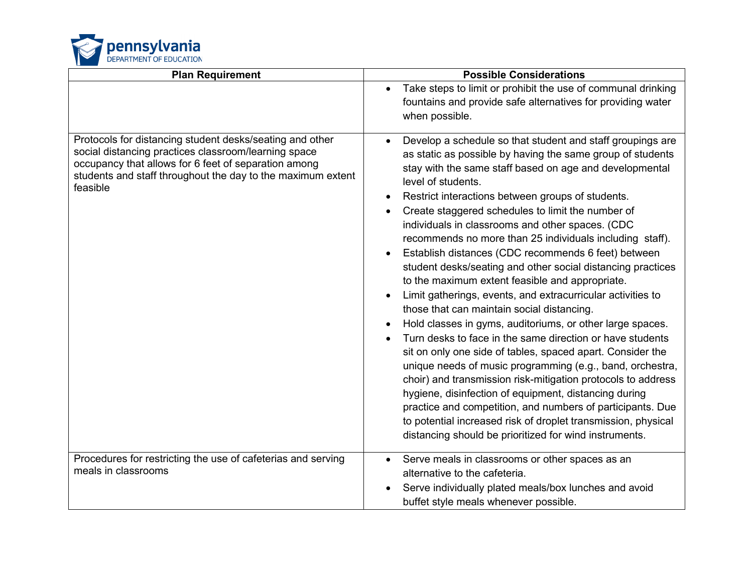

| <b>Plan Requirement</b>                                                                                                                                                                                                                             | <b>Possible Considerations</b>                                                                                                                                                                                                                                                                                                                                                                                                                                                                                                                                                                                                                                                                                                                                                                                                                                                                                                                                                                                                                                                                                                                                                                                                                                                                   |
|-----------------------------------------------------------------------------------------------------------------------------------------------------------------------------------------------------------------------------------------------------|--------------------------------------------------------------------------------------------------------------------------------------------------------------------------------------------------------------------------------------------------------------------------------------------------------------------------------------------------------------------------------------------------------------------------------------------------------------------------------------------------------------------------------------------------------------------------------------------------------------------------------------------------------------------------------------------------------------------------------------------------------------------------------------------------------------------------------------------------------------------------------------------------------------------------------------------------------------------------------------------------------------------------------------------------------------------------------------------------------------------------------------------------------------------------------------------------------------------------------------------------------------------------------------------------|
|                                                                                                                                                                                                                                                     | Take steps to limit or prohibit the use of communal drinking<br>fountains and provide safe alternatives for providing water<br>when possible.                                                                                                                                                                                                                                                                                                                                                                                                                                                                                                                                                                                                                                                                                                                                                                                                                                                                                                                                                                                                                                                                                                                                                    |
| Protocols for distancing student desks/seating and other<br>social distancing practices classroom/learning space<br>occupancy that allows for 6 feet of separation among<br>students and staff throughout the day to the maximum extent<br>feasible | Develop a schedule so that student and staff groupings are<br>as static as possible by having the same group of students<br>stay with the same staff based on age and developmental<br>level of students.<br>Restrict interactions between groups of students.<br>Create staggered schedules to limit the number of<br>individuals in classrooms and other spaces. (CDC<br>recommends no more than 25 individuals including staff).<br>Establish distances (CDC recommends 6 feet) between<br>student desks/seating and other social distancing practices<br>to the maximum extent feasible and appropriate.<br>Limit gatherings, events, and extracurricular activities to<br>those that can maintain social distancing.<br>Hold classes in gyms, auditoriums, or other large spaces.<br>Turn desks to face in the same direction or have students<br>sit on only one side of tables, spaced apart. Consider the<br>unique needs of music programming (e.g., band, orchestra,<br>choir) and transmission risk-mitigation protocols to address<br>hygiene, disinfection of equipment, distancing during<br>practice and competition, and numbers of participants. Due<br>to potential increased risk of droplet transmission, physical<br>distancing should be prioritized for wind instruments. |
| Procedures for restricting the use of cafeterias and serving<br>meals in classrooms                                                                                                                                                                 | Serve meals in classrooms or other spaces as an<br>$\bullet$<br>alternative to the cafeteria.<br>Serve individually plated meals/box lunches and avoid<br>buffet style meals whenever possible.                                                                                                                                                                                                                                                                                                                                                                                                                                                                                                                                                                                                                                                                                                                                                                                                                                                                                                                                                                                                                                                                                                  |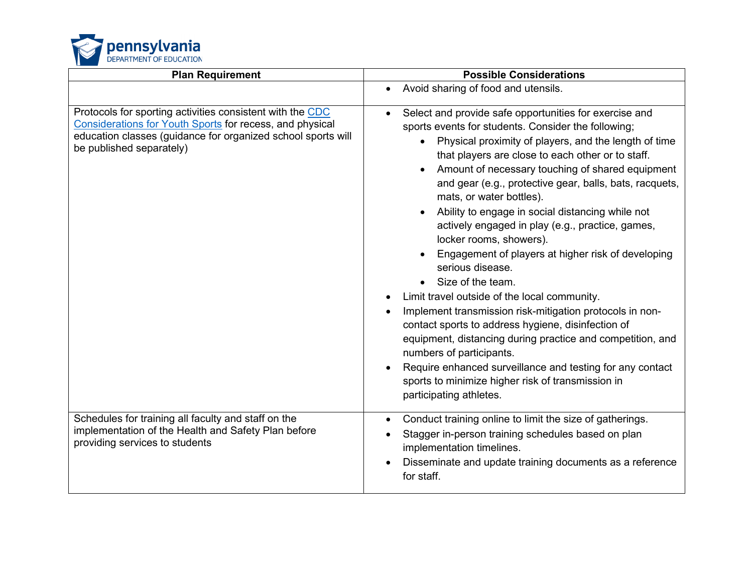

| <b>Plan Requirement</b>                                                                                                                                                                                           | <b>Possible Considerations</b>                                                                                                                                                                                                                                                                                                                                                                                                                                                                                                                                                                                                                                                                                                                                                                                                                                                                                                                                                                                    |
|-------------------------------------------------------------------------------------------------------------------------------------------------------------------------------------------------------------------|-------------------------------------------------------------------------------------------------------------------------------------------------------------------------------------------------------------------------------------------------------------------------------------------------------------------------------------------------------------------------------------------------------------------------------------------------------------------------------------------------------------------------------------------------------------------------------------------------------------------------------------------------------------------------------------------------------------------------------------------------------------------------------------------------------------------------------------------------------------------------------------------------------------------------------------------------------------------------------------------------------------------|
|                                                                                                                                                                                                                   | Avoid sharing of food and utensils.<br>$\bullet$                                                                                                                                                                                                                                                                                                                                                                                                                                                                                                                                                                                                                                                                                                                                                                                                                                                                                                                                                                  |
| Protocols for sporting activities consistent with the CDC<br>Considerations for Youth Sports for recess, and physical<br>education classes (guidance for organized school sports will<br>be published separately) | Select and provide safe opportunities for exercise and<br>sports events for students. Consider the following;<br>Physical proximity of players, and the length of time<br>that players are close to each other or to staff.<br>Amount of necessary touching of shared equipment<br>and gear (e.g., protective gear, balls, bats, racquets,<br>mats, or water bottles).<br>Ability to engage in social distancing while not<br>actively engaged in play (e.g., practice, games,<br>locker rooms, showers).<br>Engagement of players at higher risk of developing<br>serious disease.<br>Size of the team.<br>Limit travel outside of the local community.<br>Implement transmission risk-mitigation protocols in non-<br>contact sports to address hygiene, disinfection of<br>equipment, distancing during practice and competition, and<br>numbers of participants.<br>Require enhanced surveillance and testing for any contact<br>sports to minimize higher risk of transmission in<br>participating athletes. |
| Schedules for training all faculty and staff on the<br>implementation of the Health and Safety Plan before<br>providing services to students                                                                      | Conduct training online to limit the size of gatherings.<br>Stagger in-person training schedules based on plan<br>implementation timelines.<br>Disseminate and update training documents as a reference<br>for staff.                                                                                                                                                                                                                                                                                                                                                                                                                                                                                                                                                                                                                                                                                                                                                                                             |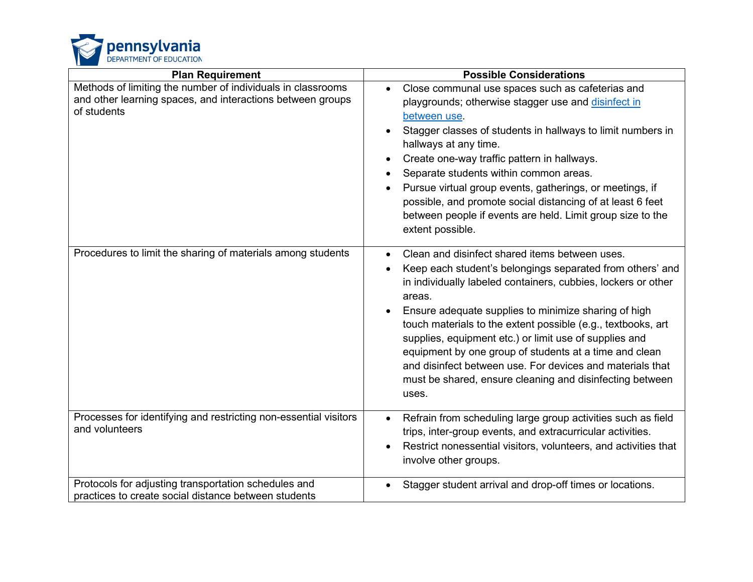

| <b>Plan Requirement</b>                                                                                                                  | <b>Possible Considerations</b>                                                                                                                                                                                                                                                                                                                                                                                                                                                                                                                                                    |
|------------------------------------------------------------------------------------------------------------------------------------------|-----------------------------------------------------------------------------------------------------------------------------------------------------------------------------------------------------------------------------------------------------------------------------------------------------------------------------------------------------------------------------------------------------------------------------------------------------------------------------------------------------------------------------------------------------------------------------------|
| Methods of limiting the number of individuals in classrooms<br>and other learning spaces, and interactions between groups<br>of students | Close communal use spaces such as cafeterias and<br>$\bullet$<br>playgrounds; otherwise stagger use and disinfect in<br>between use.<br>Stagger classes of students in hallways to limit numbers in<br>hallways at any time.<br>Create one-way traffic pattern in hallways.<br>Separate students within common areas.<br>Pursue virtual group events, gatherings, or meetings, if<br>possible, and promote social distancing of at least 6 feet<br>between people if events are held. Limit group size to the<br>extent possible.                                                 |
| Procedures to limit the sharing of materials among students                                                                              | Clean and disinfect shared items between uses.<br>Keep each student's belongings separated from others' and<br>$\bullet$<br>in individually labeled containers, cubbies, lockers or other<br>areas.<br>Ensure adequate supplies to minimize sharing of high<br>touch materials to the extent possible (e.g., textbooks, art<br>supplies, equipment etc.) or limit use of supplies and<br>equipment by one group of students at a time and clean<br>and disinfect between use. For devices and materials that<br>must be shared, ensure cleaning and disinfecting between<br>uses. |
| Processes for identifying and restricting non-essential visitors<br>and volunteers                                                       | Refrain from scheduling large group activities such as field<br>$\bullet$<br>trips, inter-group events, and extracurricular activities.<br>Restrict nonessential visitors, volunteers, and activities that<br>involve other groups.                                                                                                                                                                                                                                                                                                                                               |
| Protocols for adjusting transportation schedules and<br>practices to create social distance between students                             | Stagger student arrival and drop-off times or locations.                                                                                                                                                                                                                                                                                                                                                                                                                                                                                                                          |